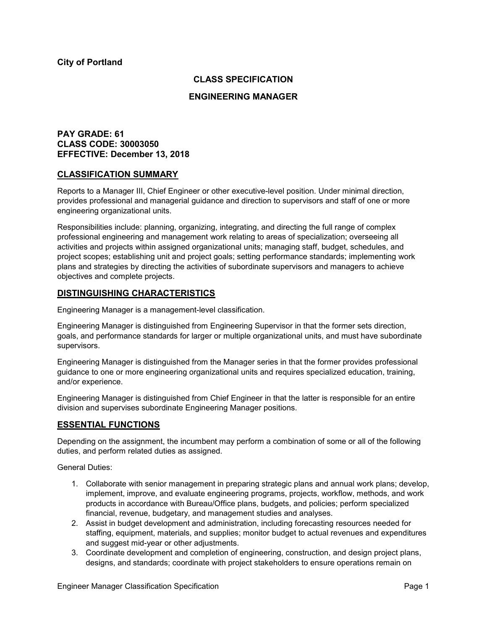# **CLASS SPECIFICATION**

## **ENGINEERING MANAGER**

# **PAY GRADE: 61 CLASS CODE: 30003050 EFFECTIVE: December 13, 2018**

## **CLASSIFICATION SUMMARY**

Reports to a Manager III, Chief Engineer or other executive-level position. Under minimal direction, provides professional and managerial guidance and direction to supervisors and staff of one or more engineering organizational units.

Responsibilities include: planning, organizing, integrating, and directing the full range of complex professional engineering and management work relating to areas of specialization; overseeing all activities and projects within assigned organizational units; managing staff, budget, schedules, and project scopes; establishing unit and project goals; setting performance standards; implementing work plans and strategies by directing the activities of subordinate supervisors and managers to achieve objectives and complete projects.

## **DISTINGUISHING CHARACTERISTICS**

Engineering Manager is a management-level classification.

Engineering Manager is distinguished from Engineering Supervisor in that the former sets direction, goals, and performance standards for larger or multiple organizational units, and must have subordinate supervisors.

Engineering Manager is distinguished from the Manager series in that the former provides professional guidance to one or more engineering organizational units and requires specialized education, training, and/or experience.

Engineering Manager is distinguished from Chief Engineer in that the latter is responsible for an entire division and supervises subordinate Engineering Manager positions.

## **ESSENTIAL FUNCTIONS**

Depending on the assignment, the incumbent may perform a combination of some or all of the following duties, and perform related duties as assigned.

General Duties:

- 1. Collaborate with senior management in preparing strategic plans and annual work plans; develop, implement, improve, and evaluate engineering programs, projects, workflow, methods, and work products in accordance with Bureau/Office plans, budgets, and policies; perform specialized financial, revenue, budgetary, and management studies and analyses.
- 2. Assist in budget development and administration, including forecasting resources needed for staffing, equipment, materials, and supplies; monitor budget to actual revenues and expenditures and suggest mid-year or other adjustments.
- 3. Coordinate development and completion of engineering, construction, and design project plans, designs, and standards; coordinate with project stakeholders to ensure operations remain on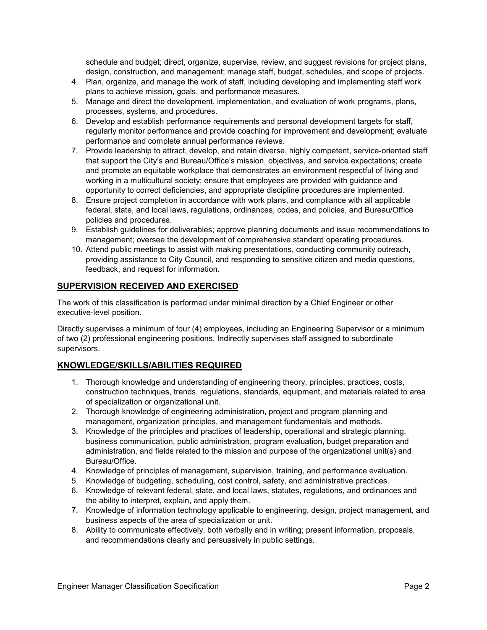schedule and budget; direct, organize, supervise, review, and suggest revisions for project plans, design, construction, and management; manage staff, budget, schedules, and scope of projects.

- 4. Plan, organize, and manage the work of staff, including developing and implementing staff work plans to achieve mission, goals, and performance measures.
- 5. Manage and direct the development, implementation, and evaluation of work programs, plans, processes, systems, and procedures.
- 6. Develop and establish performance requirements and personal development targets for staff, regularly monitor performance and provide coaching for improvement and development; evaluate performance and complete annual performance reviews.
- 7. Provide leadership to attract, develop, and retain diverse, highly competent, service-oriented staff that support the City's and Bureau/Office's mission, objectives, and service expectations; create and promote an equitable workplace that demonstrates an environment respectful of living and working in a multicultural society; ensure that employees are provided with guidance and opportunity to correct deficiencies, and appropriate discipline procedures are implemented.
- 8. Ensure project completion in accordance with work plans, and compliance with all applicable federal, state, and local laws, regulations, ordinances, codes, and policies, and Bureau/Office policies and procedures.
- 9. Establish guidelines for deliverables; approve planning documents and issue recommendations to management; oversee the development of comprehensive standard operating procedures.
- 10. Attend public meetings to assist with making presentations, conducting community outreach, providing assistance to City Council, and responding to sensitive citizen and media questions, feedback, and request for information.

# **SUPERVISION RECEIVED AND EXERCISED**

The work of this classification is performed under minimal direction by a Chief Engineer or other executive-level position.

Directly supervises a minimum of four (4) employees, including an Engineering Supervisor or a minimum of two (2) professional engineering positions. Indirectly supervises staff assigned to subordinate supervisors.

# **KNOWLEDGE/SKILLS/ABILITIES REQUIRED**

- 1. Thorough knowledge and understanding of engineering theory, principles, practices, costs, construction techniques, trends, regulations, standards, equipment, and materials related to area of specialization or organizational unit.
- 2. Thorough knowledge of engineering administration, project and program planning and management, organization principles, and management fundamentals and methods.
- 3. Knowledge of the principles and practices of leadership, operational and strategic planning, business communication, public administration, program evaluation, budget preparation and administration, and fields related to the mission and purpose of the organizational unit(s) and Bureau/Office.
- 4. Knowledge of principles of management, supervision, training, and performance evaluation.
- 5. Knowledge of budgeting, scheduling, cost control, safety, and administrative practices.
- 6. Knowledge of relevant federal, state, and local laws, statutes, regulations, and ordinances and the ability to interpret, explain, and apply them.
- 7. Knowledge of information technology applicable to engineering, design, project management, and business aspects of the area of specialization or unit.
- 8. Ability to communicate effectively, both verbally and in writing; present information, proposals, and recommendations clearly and persuasively in public settings.